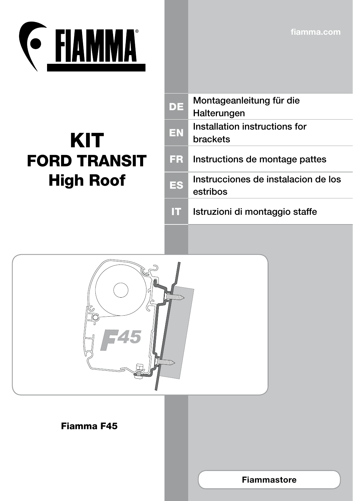**fiamma.com**



## KIT FORD TRANSIT High Roof

| <b>DE</b> | Montageanleitung für die<br>Halterungen         |
|-----------|-------------------------------------------------|
| <b>EN</b> | Installation instructions for<br>brackets       |
| FR.       | Instructions de montage pattes                  |
| ES        | Instrucciones de instalacion de los<br>estribos |
|           | Istruzioni di montaggio staffe                  |



## Fiamma F45

**Fiammastore**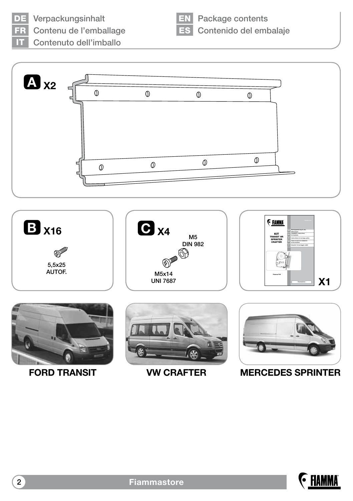DE Verpackungsinhalt

Contenu de l'emballage

**EN** Package contents ES Contenido del embalaje

Contenuto dell'imballo





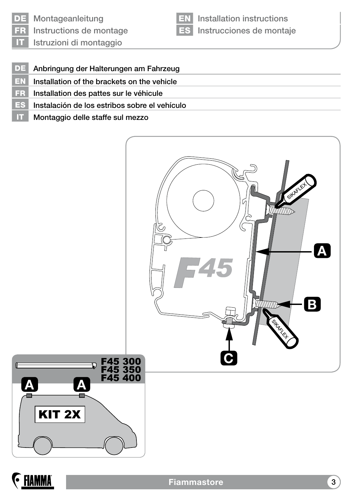

EN Installation instructions ES Instrucciones de montaje

- DE Anbringung der Halterungen am Fahrzeug
- EN Installation of the brackets on the vehicle
- FR Installation des pattes sur le véhicule
- ES Instalación de los estribos sobre el vehículo
- IT Montaggio delle staffe sul mezzo





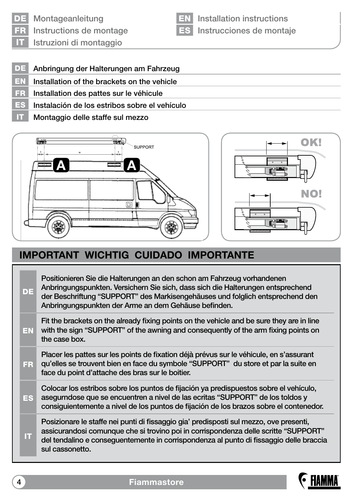

DE Montageanleitung

FR Instructions de montage

EN Installation instructions ES Instrucciones de montaje

IT Istruzioni di montaggio

- DE Anbringung der Halterungen am Fahrzeug
- $E_N$  Installation of the brackets on the vehicle
- FR Installation des pattes sur le véhicule
- ES Instalación de los estribos sobre el vehículo
- IT Montaggio delle staffe sul mezzo



## **IMPORTANT WICHTIG CUIDADO IMPORTANTE**

| DE  | Positionieren Sie die Halterungen an den schon am Fahrzeug vorhandenen<br>Anbringungspunkten. Versichern Sie sich, dass sich die Halterungen entsprechend<br>der Beschriftung "SUPPORT" des Markisengehäuses und folglich entsprechend den<br>Anbringungspunkten der Arme an dem Gehäuse befinden. |
|-----|----------------------------------------------------------------------------------------------------------------------------------------------------------------------------------------------------------------------------------------------------------------------------------------------------|
| EN  | Fit the brackets on the already fixing points on the vehicle and be sure they are in line<br>with the sign "SUPPORT" of the awning and consequently of the arm fixing points on<br>the case box.                                                                                                   |
| FR. | Placer les pattes sur les points de fixation déjà prévus sur le véhicule, en s'assurant<br>qu'elles se trouvent bien en face du symbole "SUPPORT" du store et par la suite en<br>face du point d'attache des bras sur le boitier.                                                                  |
| ES  | Colocar los estribos sobre los puntos de fijación ya predispuestos sobre el vehículo,<br>asegurndose que se encuentren a nivel de las ecritas "SUPPORT" de los toldos y<br>consiguientemente a nivel de los puntos de fijación de los brazos sobre el contenedor.                                  |
| m   | Posizionare le staffe nei punti di fissaggio gia' predisposti sul mezzo, ove presenti,<br>assicurandosi comunque che si trovino poi in corrispondenza delle scritte "SUPPORT"<br>del tendalino e conseguentemente in corrispondenza al punto di fissaggio delle braccia<br>sul cassonetto.         |

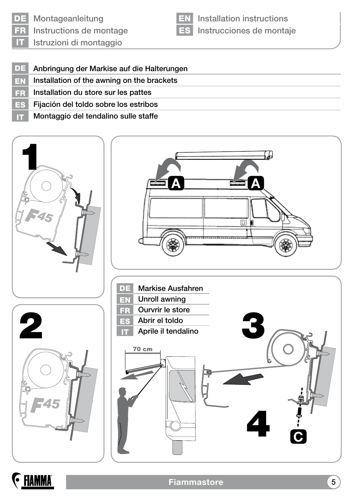

DE Montageanleitung Instructions de montage

EN Installation instructions ES Instrucciones de montaje

IT Istruzioni di montaggio

- DE Anbringung der Markise auf die Halterungen
- **EN** Installation of the awning on the brackets
- FR Installation du store sur les pattes
- ES Fijación del toldo sobre los estribos
- IT Montaggio del tendalino sulle staffe



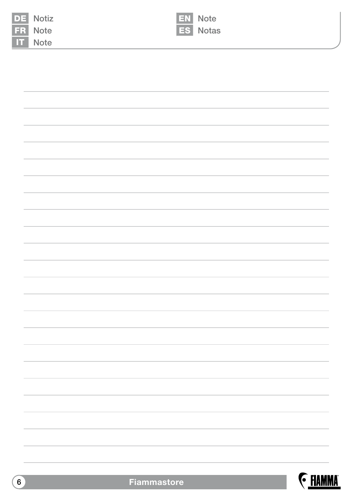|    | Notiz |
|----|-------|
| 그러 | Note  |
|    | Note  |





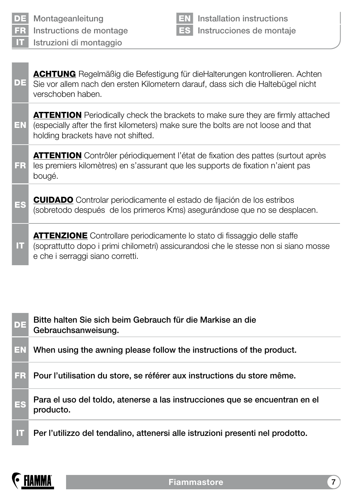

Installation instructions ES Instrucciones de montaje

DE ACHTUNG Regelmäßig die Befestigung für dieHalterungen kontrollieren. Achten Sie vor allem nach den ersten Kilometern darauf, dass sich die Haltebügel nicht verschoben haben.

EN **ATTENTION** Periodically check the brackets to make sure they are firmly attached (especially after the first kilometers) make sure the bolts are not loose and that holding brackets have not shifted.

FR ATTENTION Contrôler périodiquement l'état de fixation des pattes (surtout après les premiers kilomètres) en s'assurant que les supports de fixation n'aient pas bougé.

ES CUIDADO Controlar periodicamente el estado de fijación de los estribos (sobretodo después de los primeros Kms) asegurándose que no se desplacen.

IT ATTENZIONE Controllare periodicamente lo stato di fissaggio delle staffe (soprattutto dopo i primi chilometri) assicurandosi che le stesse non si siano mosse e che i serraggi siano corretti.

| <b>DE</b> | Bitte halten Sie sich beim Gebrauch für die Markise an die<br>Gebrauchsanweisung.        |
|-----------|------------------------------------------------------------------------------------------|
| EN        | When using the awning please follow the instructions of the product.                     |
| FR.       | Pour l'utilisation du store, se référer aux instructions du store même.                  |
| ES        | Para el uso del toldo, atenerse a las instrucciones que se encuentran en el<br>producto. |
| IT.       | Per l'utilizzo del tendalino, attenersi alle istruzioni presenti nel prodotto.           |